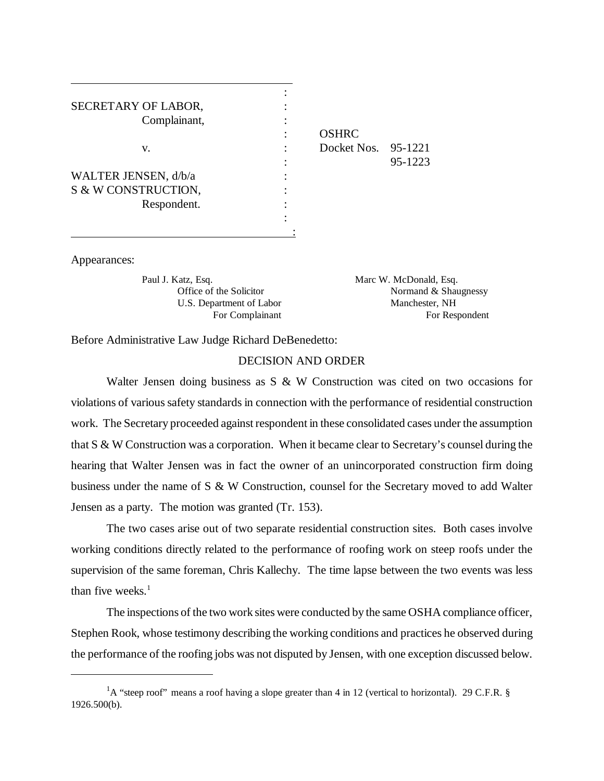| SECRETARY OF LABOR,  |                     |         |
|----------------------|---------------------|---------|
| Complainant,         |                     |         |
|                      | <b>OSHRC</b>        |         |
| V.                   | Docket Nos. 95-1221 |         |
|                      |                     | 95-1223 |
| WALTER JENSEN, d/b/a |                     |         |
| S & W CONSTRUCTION,  |                     |         |
| Respondent.          |                     |         |
|                      |                     |         |
|                      |                     |         |

| ٠      | <b>OSHRC</b>        |         |
|--------|---------------------|---------|
| ٠      | Docket Nos. 95-1221 |         |
| ٠<br>٠ |                     | 95-1223 |

Appearances:

 $\overline{a}$ 

Paul J. Katz, Esq. Marc W. McDonald, Esq. U.S. Department of Labor Manchester, NH

Office of the Solicitor Normand & Shaugnessy For Complainant For Respondent

Before Administrative Law Judge Richard DeBenedetto:

## DECISION AND ORDER

Walter Jensen doing business as S & W Construction was cited on two occasions for violations of various safety standards in connection with the performance of residential construction work. The Secretary proceeded against respondent in these consolidated cases under the assumption that S & W Construction was a corporation. When it became clear to Secretary's counsel during the hearing that Walter Jensen was in fact the owner of an unincorporated construction firm doing business under the name of S & W Construction, counsel for the Secretary moved to add Walter Jensen as a party. The motion was granted (Tr. 153).

The two cases arise out of two separate residential construction sites. Both cases involve working conditions directly related to the performance of roofing work on steep roofs under the supervision of the same foreman, Chris Kallechy. The time lapse between the two events was less than five weeks. $<sup>1</sup>$ </sup>

The inspections of the two work sites were conducted by the same OSHA compliance officer, Stephen Rook, whose testimony describing the working conditions and practices he observed during the performance of the roofing jobs was not disputed by Jensen, with one exception discussed below.

<sup>&</sup>lt;sup>1</sup>A "steep roof" means a roof having a slope greater than 4 in 12 (vertical to horizontal). 29 C.F.R. § 1926.500(b).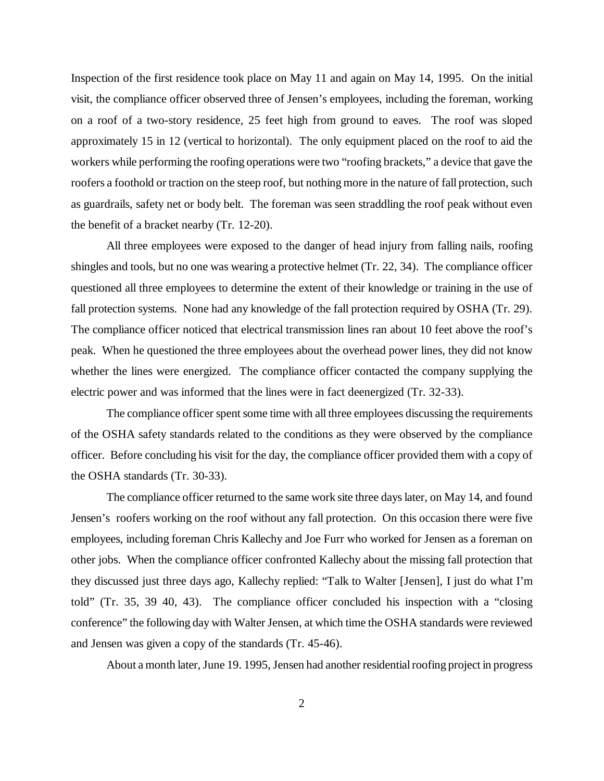Inspection of the first residence took place on May 11 and again on May 14, 1995. On the initial visit, the compliance officer observed three of Jensen's employees, including the foreman, working on a roof of a two-story residence, 25 feet high from ground to eaves. The roof was sloped approximately 15 in 12 (vertical to horizontal). The only equipment placed on the roof to aid the workers while performing the roofing operations were two "roofing brackets," a device that gave the roofers a foothold or traction on the steep roof, but nothing more in the nature of fall protection, such as guardrails, safety net or body belt. The foreman was seen straddling the roof peak without even the benefit of a bracket nearby (Tr. 12-20).

All three employees were exposed to the danger of head injury from falling nails, roofing shingles and tools, but no one was wearing a protective helmet (Tr. 22, 34). The compliance officer questioned all three employees to determine the extent of their knowledge or training in the use of fall protection systems. None had any knowledge of the fall protection required by OSHA (Tr. 29). The compliance officer noticed that electrical transmission lines ran about 10 feet above the roof's peak. When he questioned the three employees about the overhead power lines, they did not know whether the lines were energized. The compliance officer contacted the company supplying the electric power and was informed that the lines were in fact deenergized (Tr. 32-33).

The compliance officer spent some time with all three employees discussing the requirements of the OSHA safety standards related to the conditions as they were observed by the compliance officer. Before concluding his visit for the day, the compliance officer provided them with a copy of the OSHA standards (Tr. 30-33).

The compliance officer returned to the same work site three days later, on May 14, and found Jensen's roofers working on the roof without any fall protection. On this occasion there were five employees, including foreman Chris Kallechy and Joe Furr who worked for Jensen as a foreman on other jobs. When the compliance officer confronted Kallechy about the missing fall protection that they discussed just three days ago, Kallechy replied: "Talk to Walter [Jensen], I just do what I'm told" (Tr. 35, 39 40, 43). The compliance officer concluded his inspection with a "closing conference" the following day with Walter Jensen, at which time the OSHA standards were reviewed and Jensen was given a copy of the standards (Tr. 45-46).

About a month later, June 19. 1995, Jensen had another residential roofing project in progress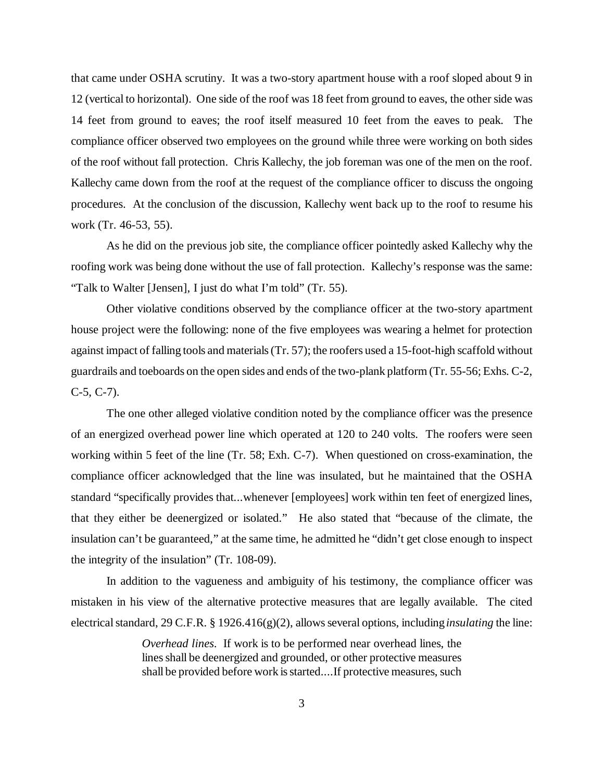that came under OSHA scrutiny. It was a two-story apartment house with a roof sloped about 9 in 12 (vertical to horizontal). One side of the roof was 18 feet from ground to eaves, the other side was 14 feet from ground to eaves; the roof itself measured 10 feet from the eaves to peak. The compliance officer observed two employees on the ground while three were working on both sides of the roof without fall protection. Chris Kallechy, the job foreman was one of the men on the roof. Kallechy came down from the roof at the request of the compliance officer to discuss the ongoing procedures. At the conclusion of the discussion, Kallechy went back up to the roof to resume his work (Tr. 46-53, 55).

As he did on the previous job site, the compliance officer pointedly asked Kallechy why the roofing work was being done without the use of fall protection. Kallechy's response was the same: "Talk to Walter [Jensen], I just do what I'm told" (Tr. 55).

Other violative conditions observed by the compliance officer at the two-story apartment house project were the following: none of the five employees was wearing a helmet for protection against impact of falling tools and materials (Tr. 57); the roofers used a 15-foot-high scaffold without guardrails and toeboards on the open sides and ends of the two-plank platform (Tr. 55-56; Exhs. C-2, C-5, C-7).

The one other alleged violative condition noted by the compliance officer was the presence of an energized overhead power line which operated at 120 to 240 volts. The roofers were seen working within 5 feet of the line (Tr. 58; Exh. C-7). When questioned on cross-examination, the compliance officer acknowledged that the line was insulated, but he maintained that the OSHA standard "specifically provides that...whenever [employees] work within ten feet of energized lines, that they either be deenergized or isolated." He also stated that "because of the climate, the insulation can't be guaranteed," at the same time, he admitted he "didn't get close enough to inspect the integrity of the insulation" (Tr. 108-09).

In addition to the vagueness and ambiguity of his testimony, the compliance officer was mistaken in his view of the alternative protective measures that are legally available. The cited electrical standard, 29 C.F.R. § 1926.416(g)(2), allows several options, including *insulating* the line:

> *Overhead lines*. If work is to be performed near overhead lines, the lines shall be deenergized and grounded, or other protective measures shall be provided before work is started....If protective measures, such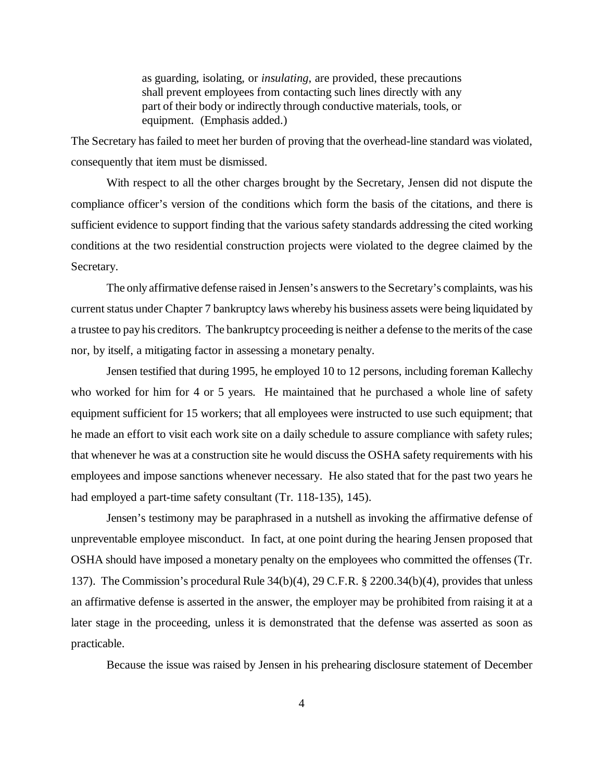as guarding, isolating, or *insulating*, are provided, these precautions shall prevent employees from contacting such lines directly with any part of their body or indirectly through conductive materials, tools, or equipment. (Emphasis added.)

The Secretary has failed to meet her burden of proving that the overhead-line standard was violated, consequently that item must be dismissed.

With respect to all the other charges brought by the Secretary, Jensen did not dispute the compliance officer's version of the conditions which form the basis of the citations, and there is sufficient evidence to support finding that the various safety standards addressing the cited working conditions at the two residential construction projects were violated to the degree claimed by the Secretary.

The only affirmative defense raised in Jensen's answers to the Secretary's complaints, was his current status under Chapter 7 bankruptcy laws whereby his business assets were being liquidated by a trustee to pay his creditors. The bankruptcy proceeding is neither a defense to the merits of the case nor, by itself, a mitigating factor in assessing a monetary penalty.

Jensen testified that during 1995, he employed 10 to 12 persons, including foreman Kallechy who worked for him for 4 or 5 years. He maintained that he purchased a whole line of safety equipment sufficient for 15 workers; that all employees were instructed to use such equipment; that he made an effort to visit each work site on a daily schedule to assure compliance with safety rules; that whenever he was at a construction site he would discuss the OSHA safety requirements with his employees and impose sanctions whenever necessary. He also stated that for the past two years he had employed a part-time safety consultant (Tr. 118-135), 145).

Jensen's testimony may be paraphrased in a nutshell as invoking the affirmative defense of unpreventable employee misconduct. In fact, at one point during the hearing Jensen proposed that OSHA should have imposed a monetary penalty on the employees who committed the offenses (Tr. 137). The Commission's procedural Rule 34(b)(4), 29 C.F.R. § 2200.34(b)(4), provides that unless an affirmative defense is asserted in the answer, the employer may be prohibited from raising it at a later stage in the proceeding, unless it is demonstrated that the defense was asserted as soon as practicable.

Because the issue was raised by Jensen in his prehearing disclosure statement of December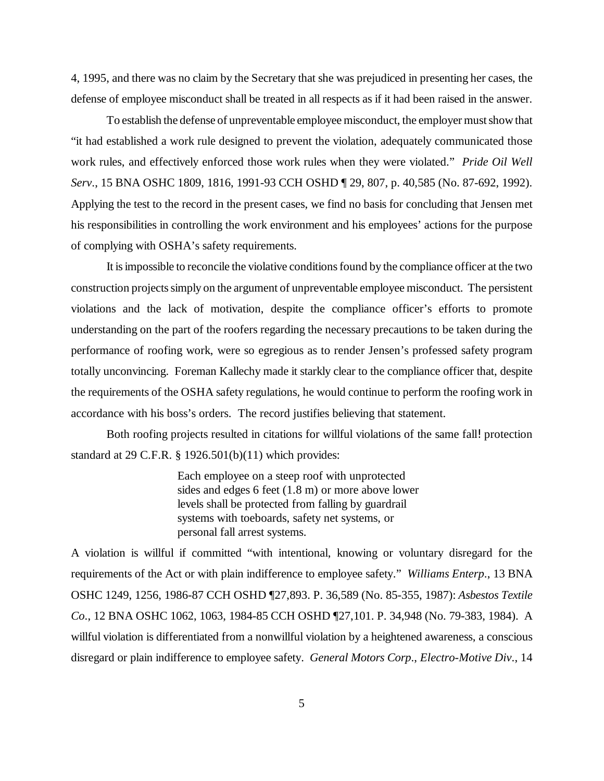4, 1995, and there was no claim by the Secretary that she was prejudiced in presenting her cases, the defense of employee misconduct shall be treated in all respects as if it had been raised in the answer.

To establish the defense of unpreventable employee misconduct, the employer must show that "it had established a work rule designed to prevent the violation, adequately communicated those work rules, and effectively enforced those work rules when they were violated." *Pride Oil Well Serv*., 15 BNA OSHC 1809, 1816, 1991-93 CCH OSHD ¶ 29, 807, p. 40,585 (No. 87-692, 1992). Applying the test to the record in the present cases, we find no basis for concluding that Jensen met his responsibilities in controlling the work environment and his employees' actions for the purpose of complying with OSHA's safety requirements.

It is impossible to reconcile the violative conditions found by the compliance officer at the two construction projects simply on the argument of unpreventable employee misconduct. The persistent violations and the lack of motivation, despite the compliance officer's efforts to promote understanding on the part of the roofers regarding the necessary precautions to be taken during the performance of roofing work, were so egregious as to render Jensen's professed safety program totally unconvincing. Foreman Kallechy made it starkly clear to the compliance officer that, despite the requirements of the OSHA safety regulations, he would continue to perform the roofing work in accordance with his boss's orders. The record justifies believing that statement.

Both roofing projects resulted in citations for willful violations of the same fall! protection standard at 29 C.F.R. § 1926.501(b)(11) which provides:

> Each employee on a steep roof with unprotected sides and edges 6 feet (1.8 m) or more above lower levels shall be protected from falling by guardrail systems with toeboards, safety net systems, or personal fall arrest systems.

A violation is willful if committed "with intentional, knowing or voluntary disregard for the requirements of the Act or with plain indifference to employee safety." *Williams Enterp*., 13 BNA OSHC 1249, 1256, 1986-87 CCH OSHD ¶27,893. P. 36,589 (No. 85-355, 1987): *Asbestos Textile Co*., 12 BNA OSHC 1062, 1063, 1984-85 CCH OSHD ¶27,101. P. 34,948 (No. 79-383, 1984). A willful violation is differentiated from a nonwillful violation by a heightened awareness, a conscious disregard or plain indifference to employee safety. *General Motors Corp*., *Electro-Motive Div*., 14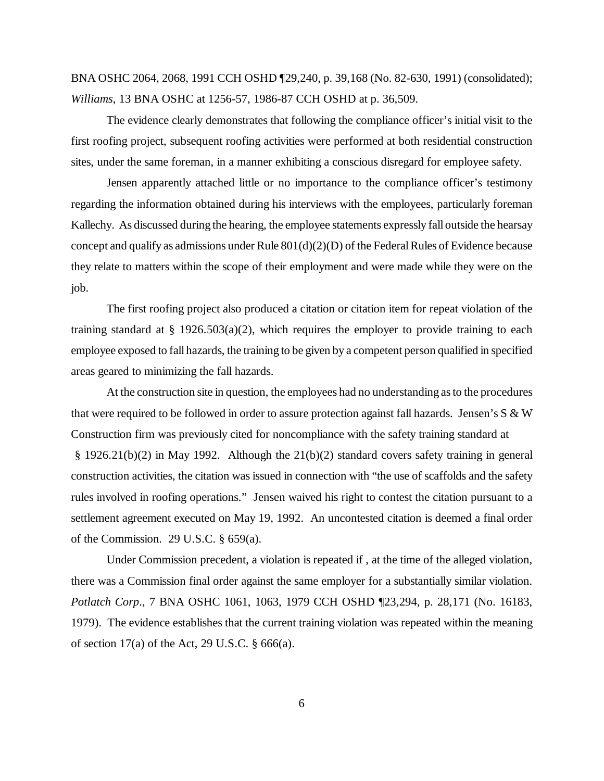BNA OSHC 2064, 2068, 1991 CCH OSHD ¶29,240, p. 39,168 (No. 82-630, 1991) (consolidated); *Williams*, 13 BNA OSHC at 1256-57, 1986-87 CCH OSHD at p. 36,509.

The evidence clearly demonstrates that following the compliance officer's initial visit to the first roofing project, subsequent roofing activities were performed at both residential construction sites, under the same foreman, in a manner exhibiting a conscious disregard for employee safety.

Jensen apparently attached little or no importance to the compliance officer's testimony regarding the information obtained during his interviews with the employees, particularly foreman Kallechy. As discussed during the hearing, the employee statements expressly fall outside the hearsay concept and qualify as admissions under Rule  $801(d)(2)(D)$  of the Federal Rules of Evidence because they relate to matters within the scope of their employment and were made while they were on the job.

The first roofing project also produced a citation or citation item for repeat violation of the training standard at § 1926.503(a)(2), which requires the employer to provide training to each employee exposed to fall hazards, the training to be given by a competent person qualified in specified areas geared to minimizing the fall hazards.

At the construction site in question, the employees had no understanding as to the procedures that were required to be followed in order to assure protection against fall hazards. Jensen's  $S \& W$ Construction firm was previously cited for noncompliance with the safety training standard at § 1926.21(b)(2) in May 1992. Although the 21(b)(2) standard covers safety training in general construction activities, the citation was issued in connection with "the use of scaffolds and the safety rules involved in roofing operations." Jensen waived his right to contest the citation pursuant to a settlement agreement executed on May 19, 1992. An uncontested citation is deemed a final order of the Commission. 29 U.S.C. § 659(a).

Under Commission precedent, a violation is repeated if , at the time of the alleged violation, there was a Commission final order against the same employer for a substantially similar violation. *Potlatch Corp*., 7 BNA OSHC 1061, 1063, 1979 CCH OSHD ¶23,294, p. 28,171 (No. 16183, 1979). The evidence establishes that the current training violation was repeated within the meaning of section 17(a) of the Act, 29 U.S.C. § 666(a).

6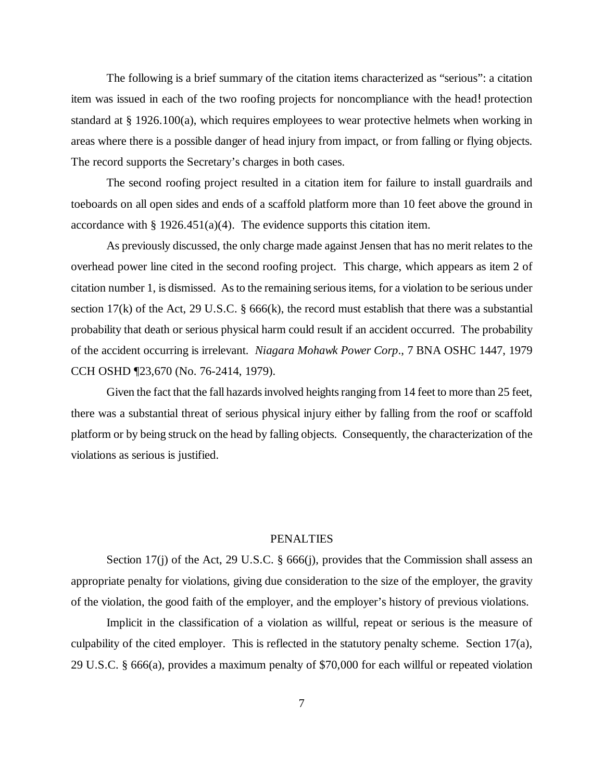The following is a brief summary of the citation items characterized as "serious": a citation item was issued in each of the two roofing projects for noncompliance with the head! protection standard at § 1926.100(a), which requires employees to wear protective helmets when working in areas where there is a possible danger of head injury from impact, or from falling or flying objects. The record supports the Secretary's charges in both cases.

The second roofing project resulted in a citation item for failure to install guardrails and toeboards on all open sides and ends of a scaffold platform more than 10 feet above the ground in accordance with  $\S 1926.451(a)(4)$ . The evidence supports this citation item.

As previously discussed, the only charge made against Jensen that has no merit relates to the overhead power line cited in the second roofing project. This charge, which appears as item 2 of citation number 1, is dismissed. As to the remaining serious items, for a violation to be serious under section 17(k) of the Act, 29 U.S.C. § 666(k), the record must establish that there was a substantial probability that death or serious physical harm could result if an accident occurred. The probability of the accident occurring is irrelevant. *Niagara Mohawk Power Corp*., 7 BNA OSHC 1447, 1979 CCH OSHD ¶23,670 (No. 76-2414, 1979).

Given the fact that the fall hazards involved heights ranging from 14 feet to more than 25 feet, there was a substantial threat of serious physical injury either by falling from the roof or scaffold platform or by being struck on the head by falling objects. Consequently, the characterization of the violations as serious is justified.

## PENALTIES

Section 17(j) of the Act, 29 U.S.C. § 666(j), provides that the Commission shall assess an appropriate penalty for violations, giving due consideration to the size of the employer, the gravity of the violation, the good faith of the employer, and the employer's history of previous violations.

Implicit in the classification of a violation as willful, repeat or serious is the measure of culpability of the cited employer. This is reflected in the statutory penalty scheme. Section 17(a), 29 U.S.C. § 666(a), provides a maximum penalty of \$70,000 for each willful or repeated violation